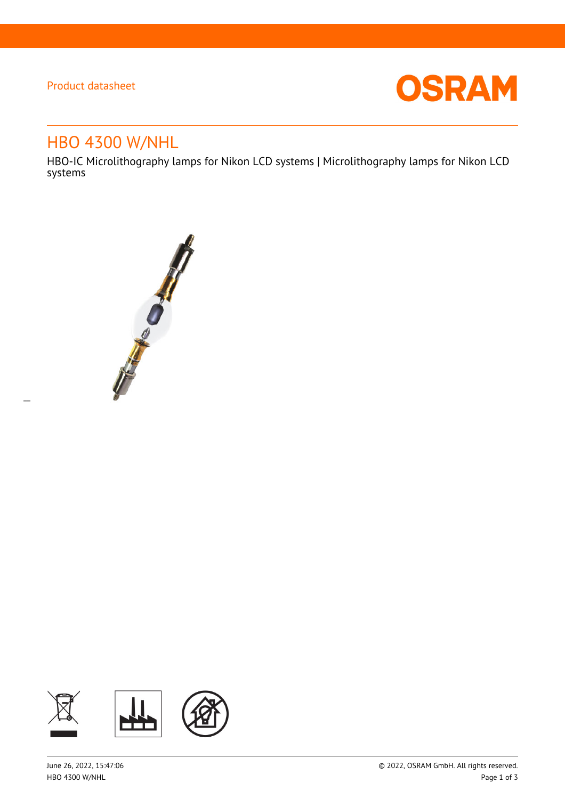# Product datasheet

 $\overline{a}$ 



# HBO 4300 W/NHL

HBO-IC Microlithography lamps for Nikon LCD systems | Microlithography lamps for Nikon LCD systems



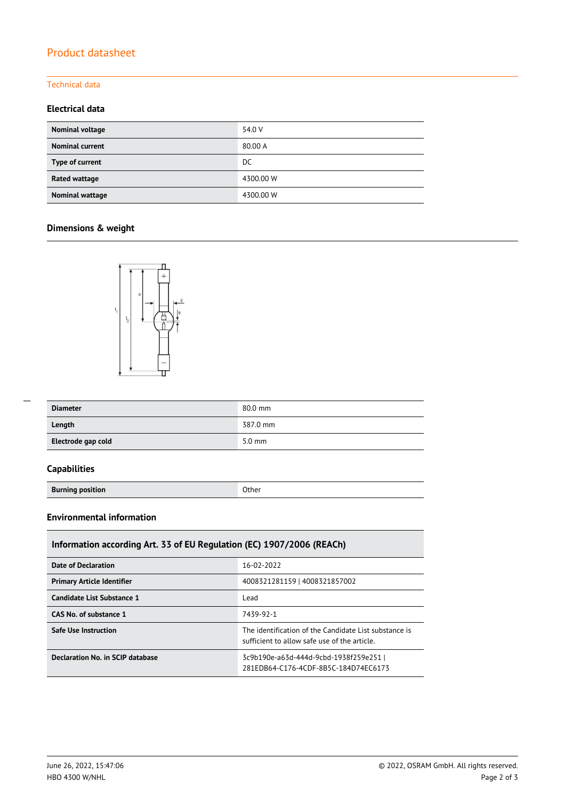# Product datasheet

### Technical data

## **Electrical data**

| Nominal voltage        | 54.0 V    |
|------------------------|-----------|
| <b>Nominal current</b> | 80.00 A   |
| Type of current        | DC        |
| Rated wattage          | 4300.00 W |
| Nominal wattage        | 4300.00 W |

## **Dimensions & weight**



| <b>Diameter</b>    | 80.0 mm  |
|--------------------|----------|
| Length             | 387.0 mm |
| Electrode gap cold | $5.0$ mm |

## **Capabilities**

 $\overline{a}$ 

**Burning position Burning position** 

## **Environmental information**

| Information according Art. 33 of EU Regulation (EC) 1907/2006 (REACh) |                                                                                                       |  |  |  |
|-----------------------------------------------------------------------|-------------------------------------------------------------------------------------------------------|--|--|--|
| <b>Date of Declaration</b>                                            | 16-02-2022                                                                                            |  |  |  |
| <b>Primary Article Identifier</b>                                     | 4008321281159   4008321857002                                                                         |  |  |  |
| Candidate List Substance 1                                            | Lead                                                                                                  |  |  |  |
| CAS No. of substance 1                                                | 7439-92-1                                                                                             |  |  |  |
| <b>Safe Use Instruction</b>                                           | The identification of the Candidate List substance is<br>sufficient to allow safe use of the article. |  |  |  |
| Declaration No. in SCIP database                                      | 3c9b190e-a63d-444d-9cbd-1938f259e251  <br>281EDB64-C176-4CDF-8B5C-184D74EC6173                        |  |  |  |